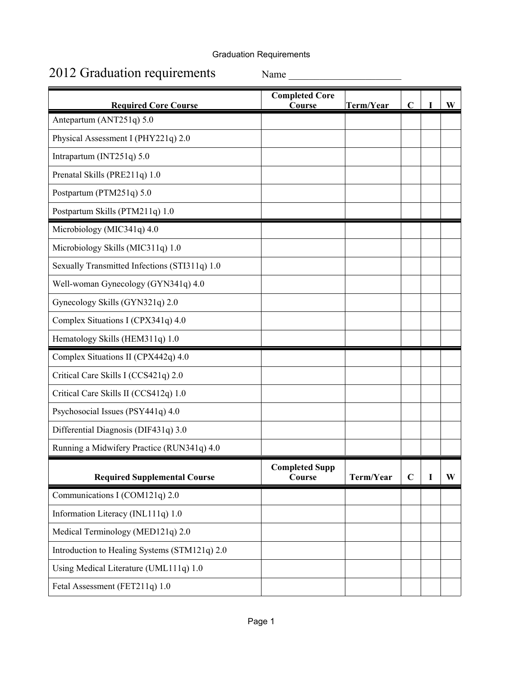## Graduation Requirements

## 2012 Graduation requirements Name

| <b>Required Core Course</b>                   | <b>Completed Core</b><br>Course | Term/Year | $\overline{C}$ |   | W |
|-----------------------------------------------|---------------------------------|-----------|----------------|---|---|
| Antepartum (ANT251q) 5.0                      |                                 |           |                |   |   |
| Physical Assessment I (PHY221q) 2.0           |                                 |           |                |   |   |
| Intrapartum (INT251q) 5.0                     |                                 |           |                |   |   |
| Prenatal Skills (PRE211q) 1.0                 |                                 |           |                |   |   |
| Postpartum (PTM251q) 5.0                      |                                 |           |                |   |   |
| Postpartum Skills (PTM211q) 1.0               |                                 |           |                |   |   |
| Microbiology (MIC341q) 4.0                    |                                 |           |                |   |   |
| Microbiology Skills (MIC311q) 1.0             |                                 |           |                |   |   |
| Sexually Transmitted Infections (STI311q) 1.0 |                                 |           |                |   |   |
| Well-woman Gynecology (GYN341q) 4.0           |                                 |           |                |   |   |
| Gynecology Skills (GYN321q) 2.0               |                                 |           |                |   |   |
| Complex Situations I (CPX341q) 4.0            |                                 |           |                |   |   |
| Hematology Skills (HEM311q) 1.0               |                                 |           |                |   |   |
| Complex Situations II (CPX442q) 4.0           |                                 |           |                |   |   |
| Critical Care Skills I (CCS421q) 2.0          |                                 |           |                |   |   |
| Critical Care Skills II (CCS412q) 1.0         |                                 |           |                |   |   |
| Psychosocial Issues (PSY441q) 4.0             |                                 |           |                |   |   |
| Differential Diagnosis (DIF431q) 3.0          |                                 |           |                |   |   |
| Running a Midwifery Practice (RUN341q) 4.0    |                                 |           |                |   |   |
| <b>Required Supplemental Course</b>           | <b>Completed Supp</b><br>Course | Term/Year | $\mathbf C$    | 1 | W |
| Communications I (COM121q) 2.0                |                                 |           |                |   |   |
| Information Literacy (INL111q) 1.0            |                                 |           |                |   |   |
| Medical Terminology (MED121q) 2.0             |                                 |           |                |   |   |
| Introduction to Healing Systems (STM121q) 2.0 |                                 |           |                |   |   |
| Using Medical Literature (UML111q) 1.0        |                                 |           |                |   |   |
| Fetal Assessment (FET211q) 1.0                |                                 |           |                |   |   |